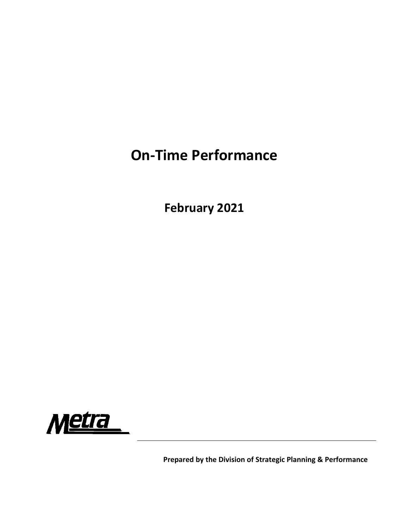## **On‐Time Performance**

**February 2021**



**Prepared by the Division of Strategic Planning & Performance**